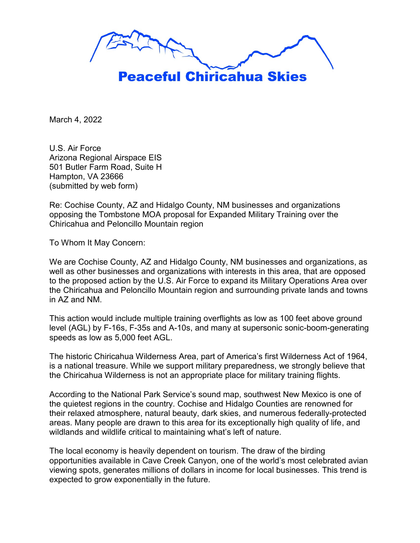

March 4, 2022

U.S. Air Force Arizona Regional Airspace EIS 501 Butler Farm Road, Suite H Hampton, VA 23666 (submitted by web form)

Re: Cochise County, AZ and Hidalgo County, NM businesses and organizations opposing the Tombstone MOA proposal for Expanded Military Training over the Chiricahua and Peloncillo Mountain region

To Whom It May Concern:

We are Cochise County, AZ and Hidalgo County, NM businesses and organizations, as well as other businesses and organizations with interests in this area, that are opposed to the proposed action by the U.S. Air Force to expand its Military Operations Area over the Chiricahua and Peloncillo Mountain region and surrounding private lands and towns in AZ and NM.

This action would include multiple training overflights as low as 100 feet above ground level (AGL) by F-16s, F-35s and A-10s, and many at supersonic sonic-boom-generating speeds as low as 5,000 feet AGL.

The historic Chiricahua Wilderness Area, part of America's first Wilderness Act of 1964, is a national treasure. While we support military preparedness, we strongly believe that the Chiricahua Wilderness is not an appropriate place for military training flights.

According to the National Park Service's sound map, southwest New Mexico is one of the quietest regions in the country. Cochise and Hidalgo Counties are renowned for their relaxed atmosphere, natural beauty, dark skies, and numerous federally-protected areas. Many people are drawn to this area for its exceptionally high quality of life, and wildlands and wildlife critical to maintaining what's left of nature.

The local economy is heavily dependent on tourism. The draw of the birding opportunities available in Cave Creek Canyon, one of the world's most celebrated avian viewing spots, generates millions of dollars in income for local businesses. This trend is expected to grow exponentially in the future.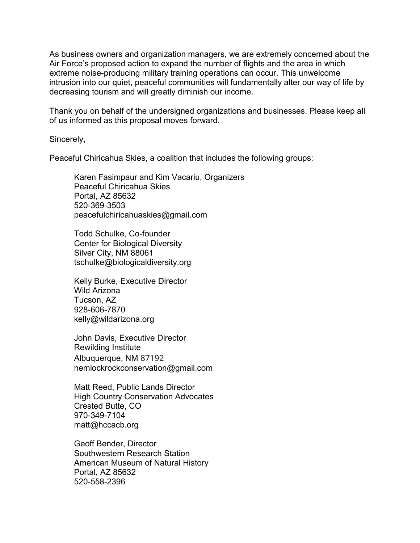As business owners and organization managers, we are extremely concerned about the Air Force's proposed action to expand the number of flights and the area in which extreme noise-producing military training operations can occur. This unwelcome intrusion into our quiet, peaceful communities will fundamentally alter our way of life by decreasing tourism and will greatly diminish our income.

Thank you on behalf of the undersigned organizations and businesses. Please keep all of us informed as this proposal moves forward.

Sincerely,

Peaceful Chiricahua Skies, a coalition that includes the following groups:

Karen Fasimpaur and Kim Vacariu, Organizers Peaceful Chiricahua Skies Portal, AZ 85632 520-369-3503 peacefulchiricahuaskies@gmail.com

Todd Schulke, Co-founder Center for Biological Diversity Silver City, NM 88061 tschulke@biologicaldiversity.org

Kelly Burke, Executive Director Wild Arizona Tucson, AZ 928-606-7870 kelly@wildarizona.org

John Davis, Executive Director Rewilding Institute Albuquerque, NM 87192 hemlockrockconservation@gmail.com

Matt Reed, Public Lands Director High Country Conservation Advocates Crested Butte, CO 970-349-7104 matt@hccacb.org

Geoff Bender, Director Southwestern Research Station American Museum of Natural History Portal, AZ 85632 520-558-2396